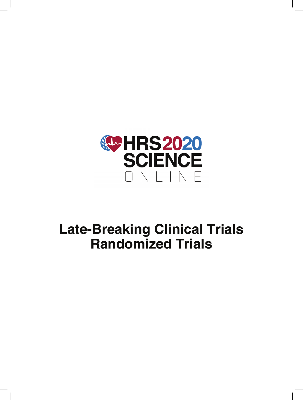

# **Late-Breaking Clinical Trials Randomized Trials**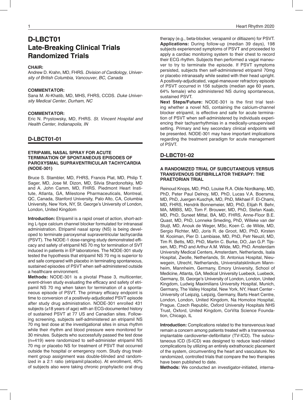# **D-LBCT01 Late-Breaking Clinical Trials Randomized Trials**

# **CHAIR:**

Andrew D. Krahn, MD, FHRS. *Division of Cardiology, University of British Columbia, Vancouver, BC, Canada*

#### **COMMENTATOR:**

Sana M. Al-Khatib, MD, MHS, FHRS, CCDS. *Duke University Medical Center, Durham, NC*

#### **COMMENTATOR:**

Eric N. Prystowsky, MD, FHRS. *St. Vincent Hospital and Health Center, Indianapolis, IN*

#### **D-LBCT01-01**

# **ETRIPAMIL NASAL SPRAY FOR ACUTE TERMINATION OF SPONTANEOUS EPISODES OF PAROXYSMAL SUPRAVENTRICULAR TACHYCARDIA (NODE-301)**

Bruce S. Stambler, MD, FHRS, Francis Plat, MD, Philip T. Sager, MD, Jose M. Dizon, MD, Silvia Shardonofsky, MD and A. John Camm, MD, FHRS. Piedmont Heart Institute, Atlanta, GA, Milestone Pharmaceuticals, Montreal, QC, Canada, Stanford University, Palo Alto, CA, Columbia University, New York, NY, St. George's University of London, London, United Kingdom

**Introduction:** Etripamil is a rapid onset of action, short-acting L-type calcium channel blocker formulated for intranasal administration. Etripamil nasal spray (NS) is being developed to terminate paroxysmal supraventricular tachycardia (PSVT). The NODE-1 dose-ranging study demonstrated efficacy and safety of etripamil NS 70 mg for termination of SVT induced in patients in EP laboratories. The NODE-301 study tested the hypothesis that etripamil NS 70 mg is superior to and safe compared with placebo in terminating spontaneous, sustained episodes of PSVT when self-administered outside a healthcare environment.

**Methods:** NODE-301 is a pivotal Phase 3, multicenter, event-driven study evaluating the efficacy and safety of etripamil NS 70 mg when taken for termination of a spontaneous episode of PSVT. The primary efficacy endpoint is time to conversion of a positively-adjudicated PSVT episode after study drug administration. NODE-301 enrolled 431 subjects (≥18 years of age) with an ECG-documented history of sustained PSVT at 77 US and Canadian sites. Following screening, subjects self-administered an etripamil NS 70 mg test dose at the investigational sites in sinus rhythm while their rhythm and blood pressure were monitored for 30 minutes. Subjects who successfully passed the test dose (n=419) were randomized to self-administer etripamil NS 70 mg or placebo NS for treatment of PSVT that occurred outside the hospital or emergency room. Study drug treatment group assignment was double-blinded and randomized in a 2:1 ratio (etripamil:placebo). At enrollment, 40% of subjects also were taking chronic prophylactic oral drug

therapy (e.g., beta-blocker, verapamil or diltiazem) for PSVT. **Applications:** During follow-up (median 39 days), 198 subjects experienced symptoms of PSVT and proceeded to apply a cardiac monitoring system to their chest to record their ECG rhythm. Subjects then performed a vagal maneuver to try to terminate the episode. If PSVT symptoms persisted, subjects then self-administered etripamil 70mg or placebo intranasally while seated with their head upright. A positively-adjudicated, vagal-maneuver refractory episode of PSVT occurred in 156 subjects (median age 60 years, 64% female) who administered NS during spontaneous, sustained PSVT.

**Next Steps/Future:** NODE-301 is the first trial testing whether a novel NS, containing the calcium-channel blocker etripamil, is effective and safe for acute termination of PSVT when self-administered by individuals experiencing their tachyarrhythmias in a medically-unsupervised setting. Primary and key secondary clinical endpoints will be presented. NODE-301 may have important implications regarding the treatment paradigm for acute management of PSVT.

## **D-LBCT01-02**

#### **A RANDOMIZED TRIAL OF SUBCUTANEOUS VERSUS TRANSVENOUS DEFIBRILLATOR THERAPY: THE PRAETORIAN TRIAL**

Reinoud Knops, MD, PhD, Louise R.A. Olde Nordkamp, MD, PhD, Peter Paul Delnoy, MD, PhD, Lucas V.A. Boersma, MD, PhD, Juergen Kuschyk, MD, PhD, Mikhael F. El-Chami, MD, FHRS, Hendrik Bonnemeier, MD, PhD, Elijah R. Behr, MA, MBBS, MD, Tom F. Brouwer, MD, PhD, Stefan Kaab, MD, PhD, Suneet Mittal, BA, MD, FHRS, Anne-Floor B.E. Quast, MD, PhD, Lonneke Smeding, PhD, Willeke van der Stuijt, MD, Anouk de Weger, MSc, Koen C. de Wilde, MD, Sergio Richter, MD, Joris R. de Groot, MD, PhD, Kirsten M. Kooiman, Pier D. Lambiase, MD, PhD, Petr Neuzil, MD, Tim R. Betts, MD, PhD, Martin C. Burke, DO, Jan G.P. Tijssen, MD, PhD and Arthur A.M. Wilde, MD, PhD. Amsterdam University Medical Centers, Amsterdam, Netherlands, Isala Hospital, Zwolle, Netherlands, St. Antonius Hospital, Nieuwegein, Utrecht, Netherlands, Universitatsklinikum Mannheim, Mannheim, Germany, Emory University, School of Medicine, Atlanta, GA, Medical University Luebeck, Luebeck, Germany, St. George's University of London, London, United Kingdom, Ludwig Maximilians University Hospital, Munich, Germany, The Valley Hospital, New York, NY, Heart Center - University of Leipzig, Leipzig, Germany, Barts Heart Centre, London, London, United Kingdom, Na Homolce Hospital, Prague, Czech Republic, Oxford University Hospitals NHS Trust, Oxford, United Kingdom, CorVita Science Foundation, Chicago, IL

**Introduction:** Complications related to the transvenous lead remain a concern among patients treated with a transvenous implantable cardioverter-defibrillator (TV-ICD). The subcutaneous ICD (S-ICD) was designed to reduce lead-related complications by utilizing an entirely extrathoracic placement of the system, circumventing the heart and vasculature. No randomized, controlled trials that compare the two therapies have been published to date.

**Methods:** We conducted an investigator-initiated, interna-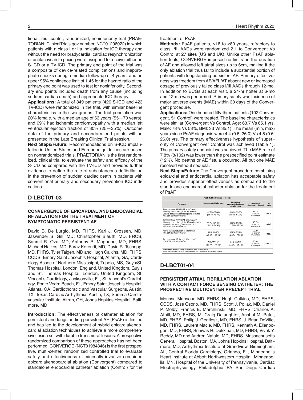tional, multicenter, randomized, noninferiority trial (PRAE-TORIAN; ClinicalTrials.gov number, NCT01296022) in which patients with a class I or IIa indication for ICD therapy and without the need for bradycardia, cardiac resynchronization or antitachycardia pacing were assigned to receive either an S-ICD or a TV-ICD. The primary end point of the trial was a composite of device-related complications and inappropriate shocks during a median follow-up of 4 years, and an upper 95% confidence limit of 1.45 for the hazard ratio of the primary end point was used to test for noninferiority. Secondary end points included death from any cause (including sudden cardiac death) and appropriate ICD therapy.

**Applications:** A total of 849 patients (426 S-ICD and 423 TV-ICD) were randomized in the trial, with similar baseline characteristics in the two groups. The trial population was 20% female, with a median age of 63 years (55―70 years), and 69% had ischemic cardiomyopathy with a median left ventricular ejection fraction of 30% (25―35%). Outcome data of the primary and secondary end points will be presented in the Late Breaking Clinical Trial session.

**Next Steps/Future:** Recommendations on S-ICD implantation in United States and European guidelines are based on nonrandomized trials. PRAETORIAN is the first randomized, clinical trial to evaluate the safety and efficacy of the S-ICD as compared with the TV-ICD and provides further evidence to define the role of subcutaneous defibrillation in the prevention of sudden cardiac death in patients with conventional primary and secondary prevention ICD indications.

#### **D-LBCT01-03**

#### **CONVERGENCE OF EPICARDIAL AND ENDOCARDIAL RF ABLATION FOR THE TREATMENT OF SYMPTOMATIC PERSISTENT AF**

David B. De Lurgio, MD, FHRS, Karl J. Crossen, MD, Jaswinder S. Gill, MD, Christopher Blauth, MD, FRCS, Saumil R. Oza, MD, Anthony R. Magnano, MD, FHRS, Michael Halkos, MD, Faraz Kerendi, MD, David R. Tschopp, MD, FHRS, Tyler Taigen, MD and Hugh Calkins, MD, FHRS, CCDS. Emory Saint Joseph's Hospital, Atlanta, GA, Cardiology Assoc of Northern Mississippi, Tupelo, MS, Guys/St. Thomas Hospital, London, England, United Kingdom, Guy's and St. Thomas Hospital, London, United Kingdom, St. Vincent's Cardiology, Jacksonville, FL, St. Vincent's Cardiology, Ponte Vedra Beach, FL, Emory Saint Joseph's Hospital, Atlanta, GA, Cardiothoracic and Vascular Surgeons, Austin, TX, Texas Cardiac Arrhythmia, Austin, TX, Summa Cardiovascular Institute, Akron, OH, Johns Hopkins Hospital, Baltimore, MD

**Introduction:** The effectiveness of catheter ablation for persistent and longstanding persistent AF (PsAF) is limited and has led to the development of hybrid epicardial/endocardial ablation techniques to achieve a more comprehensive lesion set with durable transmural lesions. A prospective randomized comparison of these approaches has not been performed. CONVERGE (NCT01984346) is the first prospective, multi-center, randomized controlled trial to evaluate safety and effectiveness of minimally invasive combined epicardial/endocardial ablation (Convergent) compared to standalone endocardial catheter ablation (Control) for the

2 Heart Rhythm 2020

#### treatment of PsAF.

**Methods:** PsAF patients, >18 to <80 years, refractory to class I/III AADs were randomized 2:1 to Convergent Vs Control at 27 sites (US and UK). Unlike other PsAF ablation trials, CONVERGE imposed no limits on the duration of AF and allowed left atrial sizes up to 6cm, making it the only ablation trial thus far to include a substantial portion of patients with longstanding persistent AF. Primary effectiveness was freedom from AF/AFL/AT absent new or increased dosage of previously failed class I/III AADs through 12-mo. In addition to ECGs at each visit, a 24-hr holter at 6-mo and 12-mo was performed. Primary safety was incidence of major adverse events (MAE) within 30 days of the Convergent procedure.

**Applications:** One hundred fifty-three patients (102 Convergent, 51 Control) were treated. The baseline characteristics were similar (Convergent Vs Control, Age: 63.7 Vs 65.1 yrs, Male: 78% Vs 53%, BMI: 33 Vs 35.1). The mean (min, max) years since PsAF diagnosis were 4.4 (0.5, 26.0) Vs 4.5 (0.6, 26.0) yrs. The primary effectiveness hypothesis of superiority of Convergent over Control was achieved (Table 1). The primary safety endpoint was achieved. The MAE rate of 7.8% (8/102) was lower than the prespecified point estimate (12%). No deaths or AE fistula occurred. All but one MAE resolved without sequela.

**Next Steps/Future:** The Convergent procedure combining epicardial and endocardial ablation has acceptable safety and provides superior effectiveness as compared to the standalone endocardial catheter ablation for the treatment of PsAF.

| <b>Table 1: Effectiveness endpoints</b>                                                                                                                         |                                       |                                                    |                                      |             |
|-----------------------------------------------------------------------------------------------------------------------------------------------------------------|---------------------------------------|----------------------------------------------------|--------------------------------------|-------------|
| Parameter                                                                                                                                                       | Convergent ablation arm               | Standalone<br>endocardial catheter<br>ablation arm | Difference<br>(Convergent - Control) | p-<br>value |
| Freedom from AF/AFL/AT from 3-month<br>blanking period through the 12-months*<br>without imputation of missing data as failure<br>n%, (95% Confidence Interval) | 67.7% (67/99)<br>$(58.5\% - 76.9\%)$  | 50.0% (25/50)<br>$(36.1\% - 63.9\%)$               | 17.7%<br>In favor of<br>Convergent   | 0.036       |
| Freedom from AF/AFL/AT from 3-month<br>blanking period through the 12-months* with<br>imputation of missing data as failure<br>n%. (95% Confidence Interval)    | 65.7% (67/102)<br>$(56.5\% - 74.9\%)$ | 49.0% (25/51)<br>$(35.3\% - 62.7\%)$               | 16.7%<br>In favor of<br>Convergent   | 0.047       |
| >90% burden reduction at 12 months*<br>n%. (95% Confidence Interval)                                                                                            | 80% (60/75)<br>$(70.9\% - 89.1\%)$    | 56.8% (25/44)<br>$(42.2\% - 71.5\%)$               | 23.2%<br>in favor of<br>Convergent   | 0.007       |
| Freedom from AF through 12 months *<br>n%. (95% Confidence Interval)                                                                                            | 71% (72/102)<br>$(61.7\% - 79.4\%)$   | 51% (26/51)<br>$(37.3\% - 64.7\%)$                 | 20.0%<br>in favor of<br>Convergent   | 0.017       |

AADs: anti-arrhythmic drugs; AF: atrial fibrillation; AFL: atrial flutter; AT: atrial tachycardia

# **D-LBCT01-04**

#### **PERSISTENT ATRIAL FIBRILLATION ABLATION WITH A CONTACT FORCE SENSING CATHETER: THE PROSPECTIVE MULTICENTER PRECEPT TRIAL**

Moussa Mansour, MD, FHRS, Hugh Calkins, MD, FHRS, CCDS, Jose Osorio, MD, FHRS, Scott J. Pollak, MD, Daniel P. Melby, Francis E. Marchlinski, MD, FHRS, Charles A. Athill, MD, FHRS, M. Craig Delaughter, Anshul M. Patel, MD, FHRS, Philip J. Gentlesk, MD, FHRS, J. Brian DeVille, MD, FHRS, Laurent Macle, MD, FHRS, Kenneth A. Ellenbogen, MD, FHRS, Srinivas R. Dukkipati, MD, FHRS, Vivek Y. Reddy, MD and Andrea Natale, MD, FHRS. Massachusetts General Hospital, Boston, MA, Johns Hopkins Hospital, Baltimore, MD, Arrhythmia Institute at Grandview, Birmingham, AL, Central Florida Cardiology, Orlando, FL, Minneapolis Heart Institute at Abbott Northwestern Hospital, Minneapolis, MN, Hospital of the University of Pennsylvania, Cardiac Electrophysiology, Philadelphia, PA, San Diego Cardiac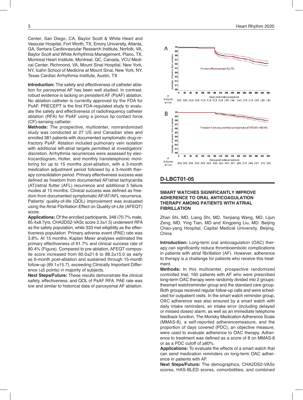Center, San Diego, CA, Baylor Scott & White Heart and Vascular Hospital, Fort Worth, TX, Emory University, Atlanta, GA, Sentara Cardiovascular Research Institute, Norfolk, VA, Baylor Scott and White Arrhythmia Management, Plano, TX, Montreal Heart Institute, Montreal, QC, Canada, VCU Medical Center, Richmond, VA, Mount Sinai Hospital, New York, NY, Icahn School of Medicine at Mount Sinai, New York, NY, Texas Cardiac Arrhythmia Institute, Austin, TX

**Introduction:** The safety and effectiveness of catheter ablation for paroxysmal AF has been well studied. In contrast, robust evidence is lacking on persistent AF (PsAF) ablation. No ablation catheter is currently approved by the FDA for PsAF. PRECEPT is the first FDA-regulated study to evaluate the safety and effectiveness of radiofrequency catheter ablation (RFA) for PsAF using a porous tip contact force (CF)-sensing catheter.

**Methods:** The prospective, multicenter, nonrandomized study was conducted at 27 US and Canadian sites and enrolled 381 patients with documented symptomatic drug-refractory PsAF. Ablation included pulmonary vein isolation with additional left-atrial targets permitted at investigators' discretion. Arrhythmia recurrences were assessed by electrocardiogram, Holter, and monthly transtelephonic monitoring for up to 15 months post-ablation, with a 3-month medication adjustment period followed by a 3-month therapy consolidation period. Primary effectiveness success was defined as freedom from documented AF/atrial tachycardia (AT)/atrial flutter (AFL) recurrence and additional 5 failure modes at 15 months. Clinical success was defined as freedom from documented symptomatic AF/AT/AFL recurrence. Patients' quality-of-life (QOL) improvement was evaluated using the Atrial Fibrillation Effect on Quality-of-Life (AFEQT) score.

**Applications:** Of the enrolled participants, 348 (70.7% male, 65.4±8.7yrs, CHA2DS2-VASc score 2.3±1.5) underwent RFA as the safety population, while 333 met eiligiblity as the effectiveness population. Primary adverse event (PAE) rate was 3.8%. At 15 months, Kaplan Meier analyses estimated the primary effectiveness of 61.7% and clinical success rate of 80.4% (Figure). Compared to pre-ablation, AFEQT composite score increased from 60.0±21.6 to 88.2±15.0 as early as 6-month post-ablation and sustained through 15-month follow-up (89.1±15.7), exceeding Clinically Important Difference (±5 points) in majority of subjects.

**Next Steps/Future:** These results demonstrate the clinical safety, effectiveness, and QOL of PsAF RFA. PAE rate was low and similar to historical data of paroxysmal AF ablation.



# **D-LBCT01-05**

#### **SMART WATCHES SIGNIFICANTLY IMPROVE ADHERENCE TO ORAL ANTICOAGULATION THERAPY AMONG PATIENTS WITH ATRIAL FIBRILLATION**

Zhan Shi, MD, Liang Shi, MD, Yanjiang Wang, MD, Lijun Zeng, MD, Ying Tian, MD and Xingpeng Liu, MD. Beijing Chao-yang Hospital, Capital Medical University, Beijing, China

**Introduction:** Long-term oral anticoagulation (OAC) therapy can significantly reduce thromboembolic complications in patients with atrial fibrillation (AF). However, adherence to therapy is a challenge for patients who receive this treatment.

**Methods:** In this multicenter, prospective randomized controlled trial, 160 patients with AF who were prescribed long-term OAC therapy were randomly divided into 2 groups: thesmart watchreminder group and the standard care group. Both groups received regular follow-up calls and were scheduled for outpatient visits. In the smart watch reminder group, OAC adherence was also ensured by a smart watch with daily intake reminders, an intake error (including delayed or missed doses) alarm, as well as an immediate telephone feedback function. The Morisky Medication Adherence Scale (MMAS-8), a self-reported adherencemeasure, and the proportion of days covered (PDC), an objective measure, were used to evaluate adherence to OAC therapy. Adherence to treatment was defined as a score of 8 on MMAS-8 or as a PDC cutoff of ≥80%.

**Applications:** To evaluate the effects of a smart watch that can send medication reminders on long-term OAC adherence in patients with AF.

**Next Steps/Future:** The demographics, CHA2DS2-VASc scores, HAS-BLED scores, comorbidities, and combined